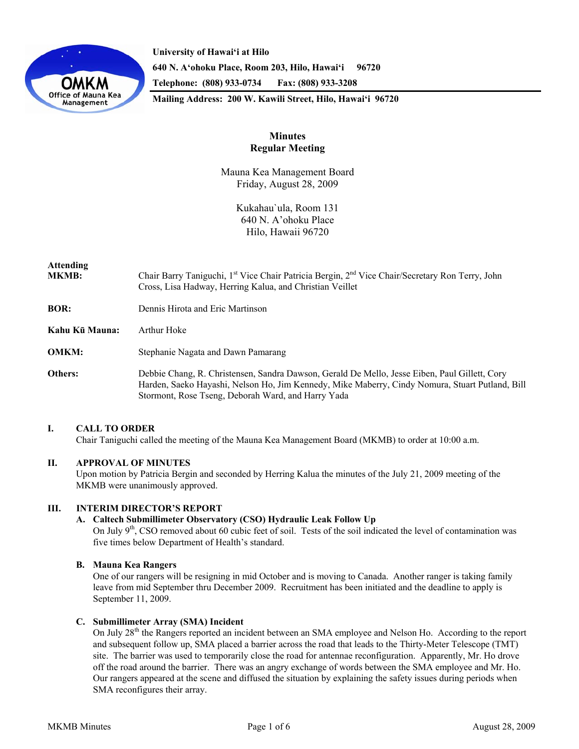

**University of Hawai'i at Hilo 640 N. A'ohoku Place, Room 203, Hilo, Hawai'i 96720 Telephone: (808) 933-0734 Fax: (808) 933-3208 Mailing Address: 200 W. Kawili Street, Hilo, Hawai'i 96720** 

# **Minutes Regular Meeting**

Mauna Kea Management Board Friday, August 28, 2009

> Kukahau`ula, Room 131 640 N. A'ohoku Place Hilo, Hawaii 96720

# **Attending**

- **MKMB:** Chair Barry Taniguchi, 1<sup>st</sup> Vice Chair Patricia Bergin, 2<sup>nd</sup> Vice Chair/Secretary Ron Terry, John Cross, Lisa Hadway, Herring Kalua, and Christian Veillet
- **BOR:** Dennis Hirota and Eric Martinson
- **Kahu Kū Mauna:** Arthur Hoke
- **OMKM:** Stephanie Nagata and Dawn Pamarang
- **Others:** Debbie Chang, R. Christensen, Sandra Dawson, Gerald De Mello, Jesse Eiben, Paul Gillett, Cory Harden, Saeko Hayashi, Nelson Ho, Jim Kennedy, Mike Maberry, Cindy Nomura, Stuart Putland, Bill Stormont, Rose Tseng, Deborah Ward, and Harry Yada

# **I. CALL TO ORDER**

Chair Taniguchi called the meeting of the Mauna Kea Management Board (MKMB) to order at 10:00 a.m.

# **II. APPROVAL OF MINUTES**

Upon motion by Patricia Bergin and seconded by Herring Kalua the minutes of the July 21, 2009 meeting of the MKMB were unanimously approved.

# **III. INTERIM DIRECTOR'S REPORT**

# **A. Caltech Submillimeter Observatory (CSO) Hydraulic Leak Follow Up**

On July 9<sup>th</sup>, CSO removed about 60 cubic feet of soil. Tests of the soil indicated the level of contamination was five times below Department of Health's standard.

# **B. Mauna Kea Rangers**

One of our rangers will be resigning in mid October and is moving to Canada. Another ranger is taking family leave from mid September thru December 2009. Recruitment has been initiated and the deadline to apply is September 11, 2009.

# **C. Submillimeter Array (SMA) Incident**

On July 28<sup>th</sup> the Rangers reported an incident between an SMA employee and Nelson Ho. According to the report and subsequent follow up, SMA placed a barrier across the road that leads to the Thirty-Meter Telescope (TMT) site. The barrier was used to temporarily close the road for antennae reconfiguration. Apparently, Mr. Ho drove off the road around the barrier. There was an angry exchange of words between the SMA employee and Mr. Ho. Our rangers appeared at the scene and diffused the situation by explaining the safety issues during periods when SMA reconfigures their array.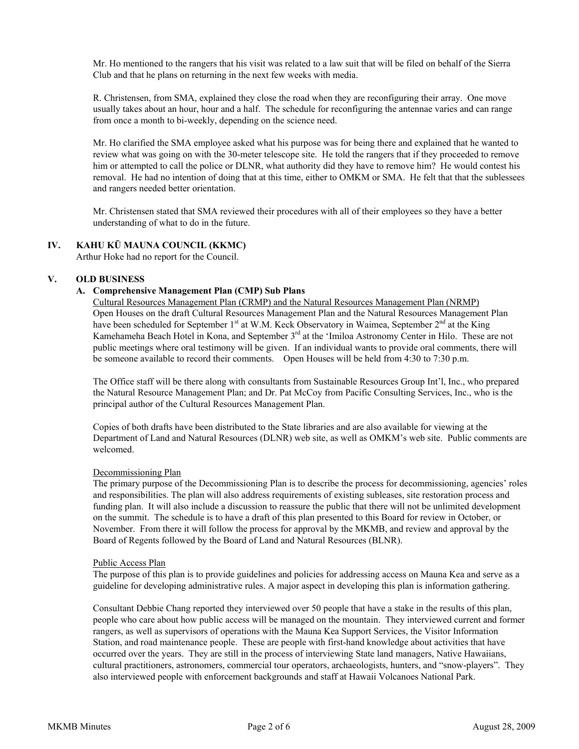Mr. Ho mentioned to the rangers that his visit was related to a law suit that will be filed on behalf of the Sierra Club and that he plans on returning in the next few weeks with media.

R. Christensen, from SMA, explained they close the road when they are reconfiguring their array. One move usually takes about an hour, hour and a half. The schedule for reconfiguring the antennae varies and can range from once a month to bi-weekly, depending on the science need.

Mr. Ho clarified the SMA employee asked what his purpose was for being there and explained that he wanted to review what was going on with the 30-meter telescope site. He told the rangers that if they proceeded to remove him or attempted to call the police or DLNR, what authority did they have to remove him? He would contest his removal. He had no intention of doing that at this time, either to OMKM or SMA. He felt that that the sublessees and rangers needed better orientation.

Mr. Christensen stated that SMA reviewed their procedures with all of their employees so they have a better understanding of what to do in the future.

# **IV. KAHU KŪ MAUNA COUNCIL (KKMC)**

Arthur Hoke had no report for the Council.

# **V. OLD BUSINESS**

#### **A. Comprehensive Management Plan (CMP) Sub Plans**

Cultural Resources Management Plan (CRMP) and the Natural Resources Management Plan (NRMP) Open Houses on the draft Cultural Resources Management Plan and the Natural Resources Management Plan have been scheduled for September 1<sup>st</sup> at W.M. Keck Observatory in Waimea, September 2<sup>nd</sup> at the King Kamehameha Beach Hotel in Kona, and September 3<sup>rd</sup> at the 'Imiloa Astronomy Center in Hilo. These are not public meetings where oral testimony will be given. If an individual wants to provide oral comments, there will be someone available to record their comments. Open Houses will be held from 4:30 to 7:30 p.m.

The Office staff will be there along with consultants from Sustainable Resources Group Int'l, Inc., who prepared the Natural Resource Management Plan; and Dr. Pat McCoy from Pacific Consulting Services, Inc., who is the principal author of the Cultural Resources Management Plan.

Copies of both drafts have been distributed to the State libraries and are also available for viewing at the Department of Land and Natural Resources (DLNR) web site, as well as OMKM's web site. Public comments are welcomed.

#### Decommissioning Plan

The primary purpose of the Decommissioning Plan is to describe the process for decommissioning, agencies' roles and responsibilities. The plan will also address requirements of existing subleases, site restoration process and funding plan. It will also include a discussion to reassure the public that there will not be unlimited development on the summit. The schedule is to have a draft of this plan presented to this Board for review in October, or November. From there it will follow the process for approval by the MKMB, and review and approval by the Board of Regents followed by the Board of Land and Natural Resources (BLNR).

#### Public Access Plan

The purpose of this plan is to provide guidelines and policies for addressing access on Mauna Kea and serve as a guideline for developing administrative rules. A major aspect in developing this plan is information gathering.

Consultant Debbie Chang reported they interviewed over 50 people that have a stake in the results of this plan, people who care about how public access will be managed on the mountain. They interviewed current and former rangers, as well as supervisors of operations with the Mauna Kea Support Services, the Visitor Information Station, and road maintenance people. These are people with first-hand knowledge about activities that have occurred over the years. They are still in the process of interviewing State land managers, Native Hawaiians, cultural practitioners, astronomers, commercial tour operators, archaeologists, hunters, and "snow-players". They also interviewed people with enforcement backgrounds and staff at Hawaii Volcanoes National Park.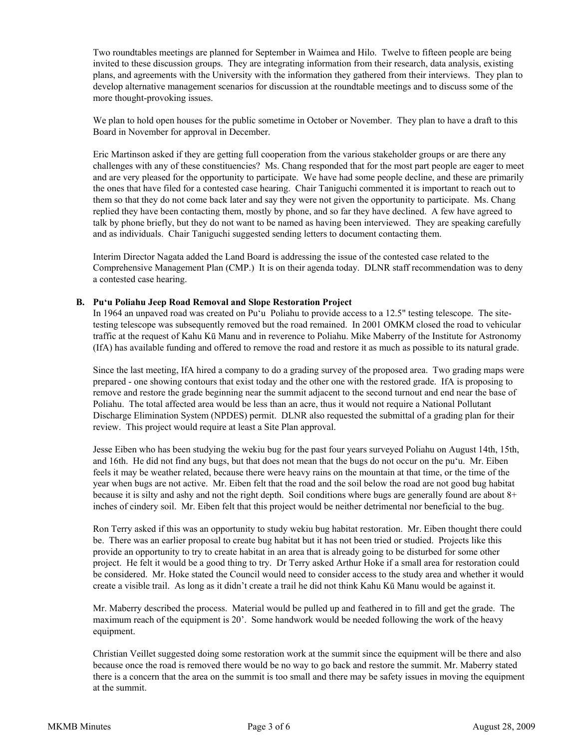Two roundtables meetings are planned for September in Waimea and Hilo. Twelve to fifteen people are being invited to these discussion groups. They are integrating information from their research, data analysis, existing plans, and agreements with the University with the information they gathered from their interviews. They plan to develop alternative management scenarios for discussion at the roundtable meetings and to discuss some of the more thought-provoking issues.

We plan to hold open houses for the public sometime in October or November. They plan to have a draft to this Board in November for approval in December.

Eric Martinson asked if they are getting full cooperation from the various stakeholder groups or are there any challenges with any of these constituencies? Ms. Chang responded that for the most part people are eager to meet and are very pleased for the opportunity to participate. We have had some people decline, and these are primarily the ones that have filed for a contested case hearing. Chair Taniguchi commented it is important to reach out to them so that they do not come back later and say they were not given the opportunity to participate. Ms. Chang replied they have been contacting them, mostly by phone, and so far they have declined. A few have agreed to talk by phone briefly, but they do not want to be named as having been interviewed. They are speaking carefully and as individuals. Chair Taniguchi suggested sending letters to document contacting them.

Interim Director Nagata added the Land Board is addressing the issue of the contested case related to the Comprehensive Management Plan (CMP.) It is on their agenda today. DLNR staff recommendation was to deny a contested case hearing.

#### **B. Pu'u Poliahu Jeep Road Removal and Slope Restoration Project**

In 1964 an unpaved road was created on Pu'u Poliahu to provide access to a 12.5" testing telescope. The sitetesting telescope was subsequently removed but the road remained. In 2001 OMKM closed the road to vehicular traffic at the request of Kahu Kū Manu and in reverence to Poliahu. Mike Maberry of the Institute for Astronomy (IfA) has available funding and offered to remove the road and restore it as much as possible to its natural grade.

Since the last meeting, IfA hired a company to do a grading survey of the proposed area. Two grading maps were prepared - one showing contours that exist today and the other one with the restored grade. IfA is proposing to remove and restore the grade beginning near the summit adjacent to the second turnout and end near the base of Poliahu. The total affected area would be less than an acre, thus it would not require a National Pollutant Discharge Elimination System (NPDES) permit. DLNR also requested the submittal of a grading plan for their review. This project would require at least a Site Plan approval.

Jesse Eiben who has been studying the wekiu bug for the past four years surveyed Poliahu on August 14th, 15th, and 16th. He did not find any bugs, but that does not mean that the bugs do not occur on the pu'u. Mr. Eiben feels it may be weather related, because there were heavy rains on the mountain at that time, or the time of the year when bugs are not active. Mr. Eiben felt that the road and the soil below the road are not good bug habitat because it is silty and ashy and not the right depth. Soil conditions where bugs are generally found are about 8+ inches of cindery soil. Mr. Eiben felt that this project would be neither detrimental nor beneficial to the bug.

Ron Terry asked if this was an opportunity to study wekiu bug habitat restoration. Mr. Eiben thought there could be. There was an earlier proposal to create bug habitat but it has not been tried or studied. Projects like this provide an opportunity to try to create habitat in an area that is already going to be disturbed for some other project. He felt it would be a good thing to try. Dr Terry asked Arthur Hoke if a small area for restoration could be considered. Mr. Hoke stated the Council would need to consider access to the study area and whether it would create a visible trail. As long as it didn't create a trail he did not think Kahu Kū Manu would be against it.

Mr. Maberry described the process. Material would be pulled up and feathered in to fill and get the grade. The maximum reach of the equipment is 20'. Some handwork would be needed following the work of the heavy equipment.

Christian Veillet suggested doing some restoration work at the summit since the equipment will be there and also because once the road is removed there would be no way to go back and restore the summit. Mr. Maberry stated there is a concern that the area on the summit is too small and there may be safety issues in moving the equipment at the summit.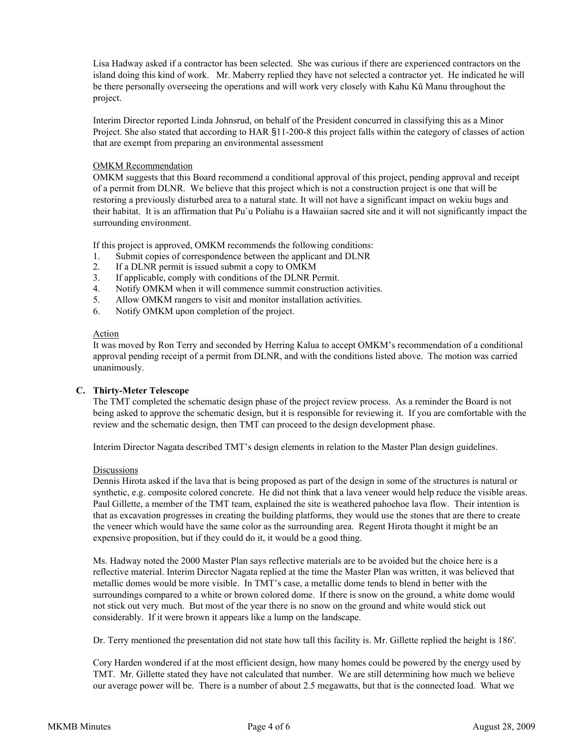Lisa Hadway asked if a contractor has been selected. She was curious if there are experienced contractors on the island doing this kind of work. Mr. Maberry replied they have not selected a contractor yet. He indicated he will be there personally overseeing the operations and will work very closely with Kahu Kū Manu throughout the project.

Interim Director reported Linda Johnsrud, on behalf of the President concurred in classifying this as a Minor Project. She also stated that according to HAR §11-200-8 this project falls within the category of classes of action that are exempt from preparing an environmental assessment

# OMKM Recommendation

OMKM suggests that this Board recommend a conditional approval of this project, pending approval and receipt of a permit from DLNR. We believe that this project which is not a construction project is one that will be restoring a previously disturbed area to a natural state. It will not have a significant impact on wekiu bugs and their habitat. It is an affirmation that Pu`u Poliahu is a Hawaiian sacred site and it will not significantly impact the surrounding environment.

If this project is approved, OMKM recommends the following conditions:

- 1. Submit copies of correspondence between the applicant and DLNR
- 2. If a DLNR permit is issued submit a copy to OMKM
- 3. If applicable, comply with conditions of the DLNR Permit.
- 4. Notify OMKM when it will commence summit construction activities.
- 5. Allow OMKM rangers to visit and monitor installation activities.
- 6. Notify OMKM upon completion of the project.

#### Action

It was moved by Ron Terry and seconded by Herring Kalua to accept OMKM's recommendation of a conditional approval pending receipt of a permit from DLNR, and with the conditions listed above. The motion was carried unanimously.

#### **C. Thirty-Meter Telescope**

The TMT completed the schematic design phase of the project review process. As a reminder the Board is not being asked to approve the schematic design, but it is responsible for reviewing it. If you are comfortable with the review and the schematic design, then TMT can proceed to the design development phase.

Interim Director Nagata described TMT's design elements in relation to the Master Plan design guidelines.

#### Discussions

Dennis Hirota asked if the lava that is being proposed as part of the design in some of the structures is natural or synthetic, e.g. composite colored concrete. He did not think that a lava veneer would help reduce the visible areas. Paul Gillette, a member of the TMT team, explained the site is weathered pahoehoe lava flow. Their intention is that as excavation progresses in creating the building platforms, they would use the stones that are there to create the veneer which would have the same color as the surrounding area. Regent Hirota thought it might be an expensive proposition, but if they could do it, it would be a good thing.

Ms. Hadway noted the 2000 Master Plan says reflective materials are to be avoided but the choice here is a reflective material. Interim Director Nagata replied at the time the Master Plan was written, it was believed that metallic domes would be more visible. In TMT's case, a metallic dome tends to blend in better with the surroundings compared to a white or brown colored dome. If there is snow on the ground, a white dome would not stick out very much. But most of the year there is no snow on the ground and white would stick out considerably. If it were brown it appears like a lump on the landscape.

Dr. Terry mentioned the presentation did not state how tall this facility is. Mr. Gillette replied the height is 186'.

Cory Harden wondered if at the most efficient design, how many homes could be powered by the energy used by TMT. Mr. Gillette stated they have not calculated that number. We are still determining how much we believe our average power will be. There is a number of about 2.5 megawatts, but that is the connected load. What we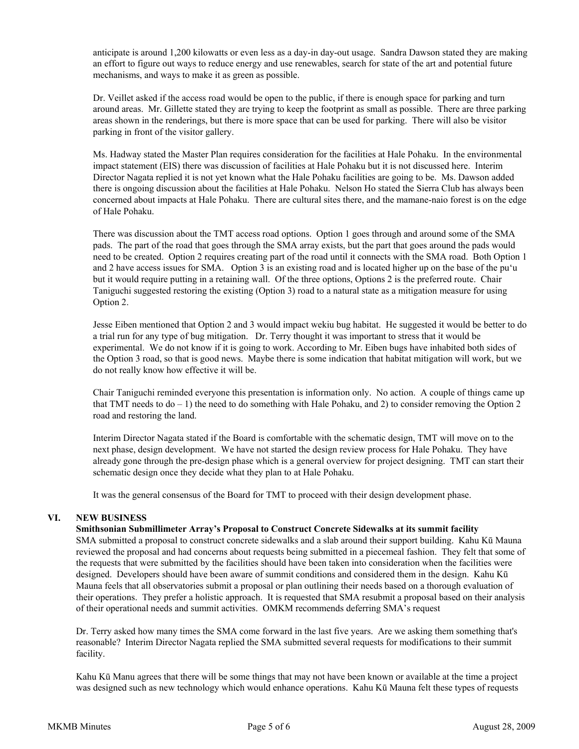anticipate is around 1,200 kilowatts or even less as a day-in day-out usage. Sandra Dawson stated they are making an effort to figure out ways to reduce energy and use renewables, search for state of the art and potential future mechanisms, and ways to make it as green as possible.

Dr. Veillet asked if the access road would be open to the public, if there is enough space for parking and turn around areas. Mr. Gillette stated they are trying to keep the footprint as small as possible. There are three parking areas shown in the renderings, but there is more space that can be used for parking. There will also be visitor parking in front of the visitor gallery.

Ms. Hadway stated the Master Plan requires consideration for the facilities at Hale Pohaku. In the environmental impact statement (EIS) there was discussion of facilities at Hale Pohaku but it is not discussed here. Interim Director Nagata replied it is not yet known what the Hale Pohaku facilities are going to be. Ms. Dawson added there is ongoing discussion about the facilities at Hale Pohaku. Nelson Ho stated the Sierra Club has always been concerned about impacts at Hale Pohaku. There are cultural sites there, and the mamane-naio forest is on the edge of Hale Pohaku.

There was discussion about the TMT access road options. Option 1 goes through and around some of the SMA pads. The part of the road that goes through the SMA array exists, but the part that goes around the pads would need to be created. Option 2 requires creating part of the road until it connects with the SMA road. Both Option 1 and 2 have access issues for SMA. Option 3 is an existing road and is located higher up on the base of the pu'u but it would require putting in a retaining wall. Of the three options, Options 2 is the preferred route. Chair Taniguchi suggested restoring the existing (Option 3) road to a natural state as a mitigation measure for using Option 2.

Jesse Eiben mentioned that Option 2 and 3 would impact wekiu bug habitat. He suggested it would be better to do a trial run for any type of bug mitigation. Dr. Terry thought it was important to stress that it would be experimental. We do not know if it is going to work. According to Mr. Eiben bugs have inhabited both sides of the Option 3 road, so that is good news. Maybe there is some indication that habitat mitigation will work, but we do not really know how effective it will be.

Chair Taniguchi reminded everyone this presentation is information only. No action. A couple of things came up that TMT needs to  $do - 1$ ) the need to do something with Hale Pohaku, and 2) to consider removing the Option 2 road and restoring the land.

Interim Director Nagata stated if the Board is comfortable with the schematic design, TMT will move on to the next phase, design development. We have not started the design review process for Hale Pohaku. They have already gone through the pre-design phase which is a general overview for project designing. TMT can start their schematic design once they decide what they plan to at Hale Pohaku.

It was the general consensus of the Board for TMT to proceed with their design development phase.

# **VI. NEW BUSINESS**

# **Smithsonian Submillimeter Array's Proposal to Construct Concrete Sidewalks at its summit facility**

SMA submitted a proposal to construct concrete sidewalks and a slab around their support building. Kahu Kū Mauna reviewed the proposal and had concerns about requests being submitted in a piecemeal fashion. They felt that some of the requests that were submitted by the facilities should have been taken into consideration when the facilities were designed. Developers should have been aware of summit conditions and considered them in the design. Kahu Kū Mauna feels that all observatories submit a proposal or plan outlining their needs based on a thorough evaluation of their operations. They prefer a holistic approach. It is requested that SMA resubmit a proposal based on their analysis of their operational needs and summit activities. OMKM recommends deferring SMA's request

Dr. Terry asked how many times the SMA come forward in the last five years. Are we asking them something that's reasonable? Interim Director Nagata replied the SMA submitted several requests for modifications to their summit facility.

Kahu Kū Manu agrees that there will be some things that may not have been known or available at the time a project was designed such as new technology which would enhance operations. Kahu Kū Mauna felt these types of requests